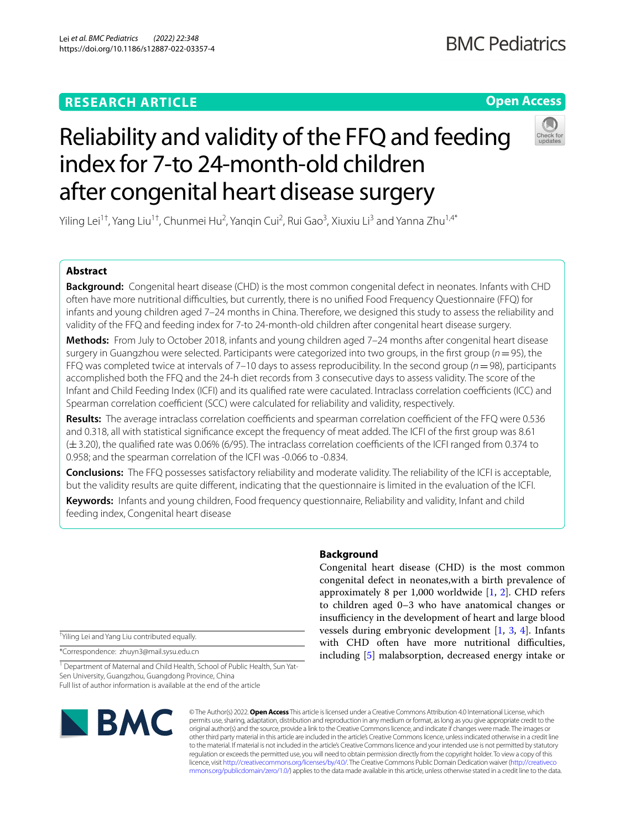# **RESEARCH ARTICLE**

# **Open Access**

# Reliability and validity of the FFQ and feeding index for 7-to 24-month-old children after congenital heart disease surgery

Yiling Lei<sup>1†</sup>, Yang Liu<sup>1†</sup>, Chunmei Hu<sup>2</sup>, Yanqin Cui<sup>2</sup>, Rui Gao<sup>3</sup>, Xiuxiu Li<sup>3</sup> and Yanna Zhu<sup>1,4\*</sup>

# **Abstract**

**Background:** Congenital heart disease (CHD) is the most common congenital defect in neonates. Infants with CHD often have more nutritional difficulties, but currently, there is no unified Food Frequency Questionnaire (FFQ) for infants and young children aged 7–24 months in China. Therefore, we designed this study to assess the reliability and validity of the FFQ and feeding index for 7-to 24-month-old children after congenital heart disease surgery.

**Methods:** From July to October 2018, infants and young children aged 7–24 months after congenital heart disease surgery in Guangzhou were selected. Participants were categorized into two groups, in the first group (*n* = 95), the FFQ was completed twice at intervals of 7–10 days to assess reproducibility. In the second group (*n*=98), participants accomplished both the FFQ and the 24-h diet records from 3 consecutive days to assess validity. The score of the Infant and Child Feeding Index (ICFI) and its qualified rate were caculated. Intraclass correlation coefficients (ICC) and Spearman correlation coefficient (SCC) were calculated for reliability and validity, respectively.

**Results:** The average intraclass correlation coefficients and spearman correlation coefficient of the FFQ were 0.536 and 0.318, all with statistical signifcance except the frequency of meat added. The ICFI of the frst group was 8.61 (±3.20), the qualifed rate was 0.06% (6/95). The intraclass correlation coefcients of the ICFI ranged from 0.374 to 0.958; and the spearman correlation of the ICFI was -0.066 to -0.834.

**Conclusions:** The FFQ possesses satisfactory reliability and moderate validity. The reliability of the ICFI is acceptable, but the validity results are quite diferent, indicating that the questionnaire is limited in the evaluation of the ICFI.

**Keywords:** Infants and young children, Food frequency questionnaire, Reliability and validity, Infant and child feeding index, Congenital heart disease

† Yiling Lei and Yang Liu contributed equally.

\*Correspondence: zhuyn3@mail.sysu.edu.cn

<sup>1</sup> Department of Maternal and Child Health, School of Public Health, Sun Yat-Sen University, Guangzhou, Guangdong Province, China Full list of author information is available at the end of the article

# **Background**

Congenital heart disease (CHD) is the most common congenital defect in neonates,with a birth prevalence of approximately 8 per 1,000 worldwide  $[1, 2]$  $[1, 2]$  $[1, 2]$ . CHD refers to children aged 0–3 who have anatomical changes or insufficiency in the development of heart and large blood vessels during embryonic development [\[1](#page-6-0), [3](#page-6-2), [4\]](#page-6-3). Infants with CHD often have more nutritional difficulties, including [[5\]](#page-6-4) malabsorption, decreased energy intake or



© The Author(s) 2022. **Open Access** This article is licensed under a Creative Commons Attribution 4.0 International License, which permits use, sharing, adaptation, distribution and reproduction in any medium or format, as long as you give appropriate credit to the original author(s) and the source, provide a link to the Creative Commons licence, and indicate if changes were made. The images or other third party material in this article are included in the article's Creative Commons licence, unless indicated otherwise in a credit line to the material. If material is not included in the article's Creative Commons licence and your intended use is not permitted by statutory regulation or exceeds the permitted use, you will need to obtain permission directly from the copyright holder. To view a copy of this licence, visit [http://creativecommons.org/licenses/by/4.0/.](http://creativecommons.org/licenses/by/4.0/) The Creative Commons Public Domain Dedication waiver ([http://creativeco](http://creativecommons.org/publicdomain/zero/1.0/) [mmons.org/publicdomain/zero/1.0/](http://creativecommons.org/publicdomain/zero/1.0/)) applies to the data made available in this article, unless otherwise stated in a credit line to the data.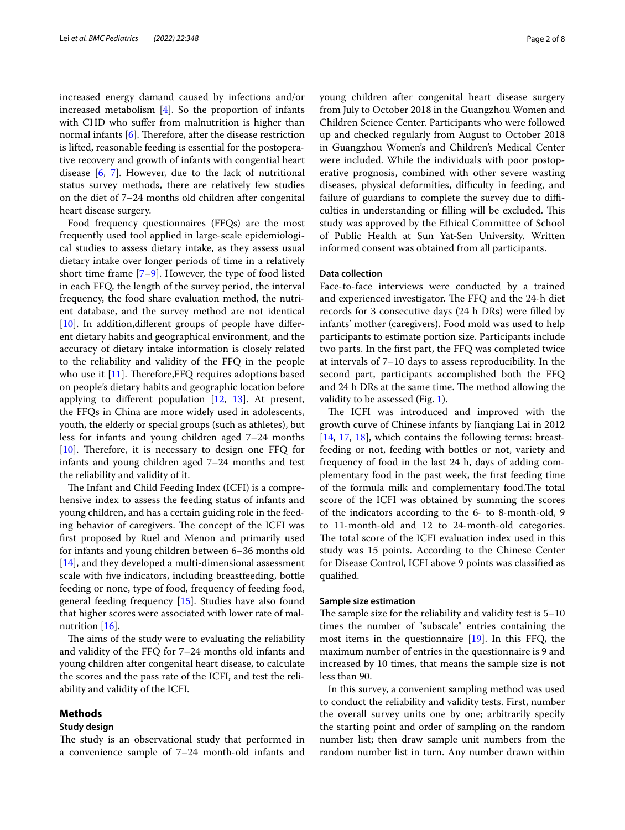increased energy damand caused by infections and/or increased metabolism [\[4](#page-6-3)]. So the proportion of infants with CHD who suffer from malnutrition is higher than normal infants  $[6]$  $[6]$ . Therefore, after the disease restriction is lifted, reasonable feeding is essential for the postoperative recovery and growth of infants with congential heart disease [[6,](#page-6-5) [7](#page-6-6)]. However, due to the lack of nutritional status survey methods, there are relatively few studies on the diet of 7–24 months old children after congenital heart disease surgery.

Food frequency questionnaires (FFQs) are the most frequently used tool applied in large-scale epidemiological studies to assess dietary intake, as they assess usual dietary intake over longer periods of time in a relatively short time frame [[7–](#page-6-6)[9\]](#page-7-0). However, the type of food listed in each FFQ, the length of the survey period, the interval frequency, the food share evaluation method, the nutrient database, and the survey method are not identical [[10\]](#page-7-1). In addition, different groups of people have different dietary habits and geographical environment, and the accuracy of dietary intake information is closely related to the reliability and validity of the FFQ in the people who use it  $[11]$  $[11]$ . Therefore, FFQ requires adoptions based on people's dietary habits and geographic location before applying to diferent population [\[12,](#page-7-3) [13](#page-7-4)]. At present, the FFQs in China are more widely used in adolescents, youth, the elderly or special groups (such as athletes), but less for infants and young children aged 7–24 months  $[10]$  $[10]$ . Therefore, it is necessary to design one FFQ for infants and young children aged 7–24 months and test the reliability and validity of it.

The Infant and Child Feeding Index (ICFI) is a comprehensive index to assess the feeding status of infants and young children, and has a certain guiding role in the feeding behavior of caregivers. The concept of the ICFI was frst proposed by Ruel and Menon and primarily used for infants and young children between 6–36 months old [[14\]](#page-7-5), and they developed a multi-dimensional assessment scale with fve indicators, including breastfeeding, bottle feeding or none, type of food, frequency of feeding food, general feeding frequency [[15\]](#page-7-6). Studies have also found that higher scores were associated with lower rate of mal-nutrition [\[16\]](#page-7-7).

The aims of the study were to evaluating the reliability and validity of the FFQ for 7–24 months old infants and young children after congenital heart disease, to calculate the scores and the pass rate of the ICFI, and test the reliability and validity of the ICFI.

# **Methods**

# **Study design**

The study is an observational study that performed in a convenience sample of 7–24 month-old infants and young children after congenital heart disease surgery from July to October 2018 in the Guangzhou Women and Children Science Center. Participants who were followed up and checked regularly from August to October 2018 in Guangzhou Women's and Children's Medical Center were included. While the individuals with poor postoperative prognosis, combined with other severe wasting diseases, physical deformities, difficulty in feeding, and failure of guardians to complete the survey due to difficulties in understanding or filling will be excluded. This study was approved by the Ethical Committee of School of Public Health at Sun Yat-Sen University. Written informed consent was obtained from all participants.

# **Data collection**

Face-to-face interviews were conducted by a trained and experienced investigator. The FFQ and the 24-h diet records for 3 consecutive days (24 h DRs) were flled by infants' mother (caregivers). Food mold was used to help participants to estimate portion size. Participants include two parts. In the frst part, the FFQ was completed twice at intervals of 7–10 days to assess reproducibility. In the second part, participants accomplished both the FFQ and 24 h DRs at the same time. The method allowing the validity to be assessed (Fig. [1](#page-2-0)).

The ICFI was introduced and improved with the growth curve of Chinese infants by Jianqiang Lai in 2012 [[14,](#page-7-5) [17](#page-7-8), [18\]](#page-7-9), which contains the following terms: breastfeeding or not, feeding with bottles or not, variety and frequency of food in the last 24 h, days of adding complementary food in the past week, the frst feeding time of the formula milk and complementary food. The total score of the ICFI was obtained by summing the scores of the indicators according to the 6- to 8-month-old, 9 to 11-month-old and 12 to 24-month-old categories. The total score of the ICFI evaluation index used in this study was 15 points. According to the Chinese Center for Disease Control, ICFI above 9 points was classifed as qualifed.

# **Sample size estimation**

The sample size for the reliability and validity test is  $5-10$ times the number of "subscale" entries containing the most items in the questionnaire [\[19](#page-7-10)]. In this FFQ, the maximum number of entries in the questionnaire is 9 and increased by 10 times, that means the sample size is not less than 90.

In this survey, a convenient sampling method was used to conduct the reliability and validity tests. First, number the overall survey units one by one; arbitrarily specify the starting point and order of sampling on the random number list; then draw sample unit numbers from the random number list in turn. Any number drawn within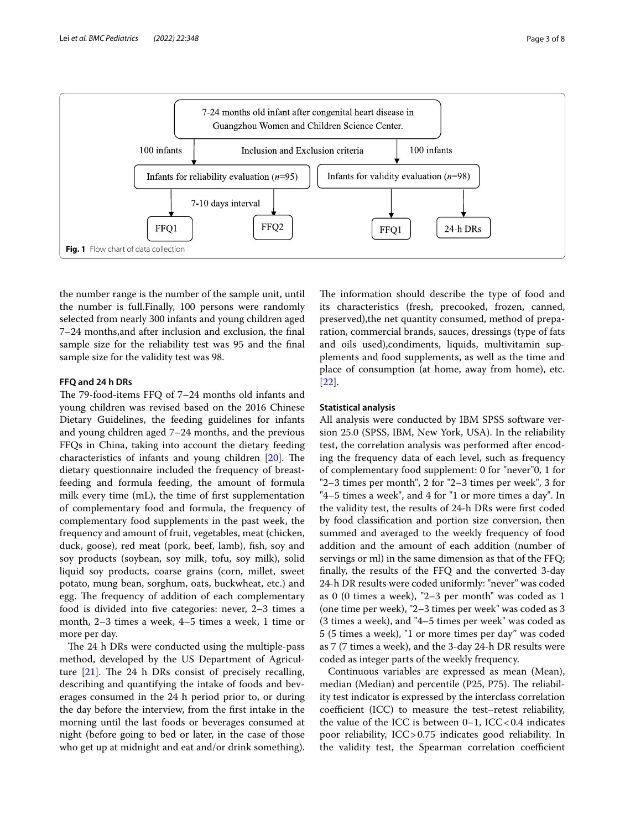

<span id="page-2-0"></span>the number range is the number of the sample unit, until the number is full.Finally, 100 persons were randomly selected from nearly 300 infants and young children aged 7–24 months,and after inclusion and exclusion, the fnal sample size for the reliability test was 95 and the fnal sample size for the validity test was 98.

# **FFQ and 24 h DRs**

The 79-food-items FFQ of 7-24 months old infants and young children was revised based on the 2016 Chinese Dietary Guidelines, the feeding guidelines for infants and young children aged 7–24 months, and the previous FFQs in China, taking into account the dietary feeding characteristics of infants and young children  $[20]$  $[20]$  $[20]$ . The dietary questionnaire included the frequency of breastfeeding and formula feeding, the amount of formula milk every time (mL), the time of frst supplementation of complementary food and formula, the frequency of complementary food supplements in the past week, the frequency and amount of fruit, vegetables, meat (chicken, duck, goose), red meat (pork, beef, lamb), fish, soy and soy products (soybean, soy milk, tofu, soy milk), solid liquid soy products, coarse grains (corn, millet, sweet potato, mung bean, sorghum, oats, buckwheat, etc.) and egg. The frequency of addition of each complementary food is divided into fve categories: never, 2–3 times a month, 2–3 times a week, 4–5 times a week, 1 time or more per day.

The 24 h DRs were conducted using the multiple-pass method, developed by the US Department of Agriculture  $[21]$ . The 24 h DRs consist of precisely recalling, describing and quantifying the intake of foods and beverages consumed in the 24 h period prior to, or during the day before the interview, from the frst intake in the morning until the last foods or beverages consumed at night (before going to bed or later, in the case of those who get up at midnight and eat and/or drink something). The information should describe the type of food and its characteristics (fresh, precooked, frozen, canned, preserved),the net quantity consumed, method of preparation, commercial brands, sauces, dressings (type of fats and oils used),condiments, liquids, multivitamin supplements and food supplements, as well as the time and place of consumption (at home, away from home), etc. [[22\]](#page-7-13).

# **Statistical analysis**

All analysis were conducted by IBM SPSS software version 25.0 (SPSS, IBM, New York, USA). In the reliability test, the correlation analysis was performed after encoding the frequency data of each level, such as frequency of complementary food supplement: 0 for "never"0, 1 for "2–3 times per month", 2 for "2–3 times per week", 3 for "4–5 times a week", and 4 for "1 or more times a day". In the validity test, the results of 24-h DRs were frst coded by food classifcation and portion size conversion, then summed and averaged to the weekly frequency of food addition and the amount of each addition (number of servings or ml) in the same dimension as that of the FFQ; fnally, the results of the FFQ and the converted 3-day 24-h DR results were coded uniformly: "never" was coded as 0 (0 times a week), "2–3 per month" was coded as 1 (one time per week), "2–3 times per week" was coded as 3 (3 times a week), and "4–5 times per week" was coded as 5 (5 times a week), "1 or more times per day" was coded as 7 (7 times a week), and the 3-day 24-h DR results were coded as integer parts of the weekly frequency.

Continuous variables are expressed as mean (Mean), median (Median) and percentile (P25, P75). The reliability test indicator is expressed by the interclass correlation coefficient (ICC) to measure the test–retest reliability, the value of the ICC is between  $0-1$ , ICC < 0.4 indicates poor reliability, ICC>0.75 indicates good reliability. In the validity test, the Spearman correlation coefficient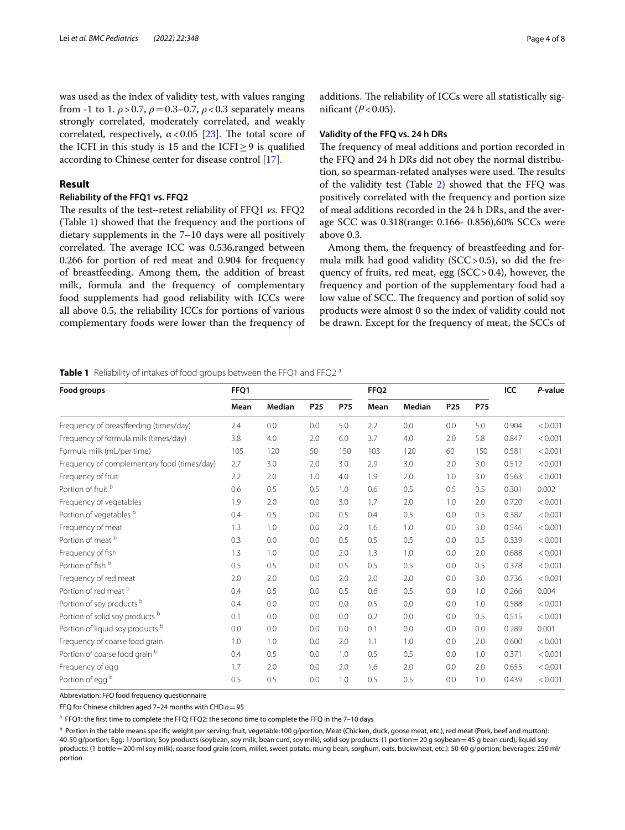was used as the index of validity test, with values ranging from -1 to 1.  $\rho$  > 0.7,  $\rho$  = 0.3–0.7,  $\rho$  < 0.3 separately means strongly correlated, moderately correlated, and weakly correlated, respectively,  $\alpha < 0.05$  [[23\]](#page-7-14). The total score of the ICFI in this study is 15 and the ICFI $\geq$ 9 is qualified according to Chinese center for disease control [[17](#page-7-8)].

# **Result**

# **Reliability of the FFQ1 vs. FFQ2**

The results of the test–retest reliability of FFQ1 *vs.* FFQ2 (Table [1](#page-3-0)) showed that the frequency and the portions of dietary supplements in the 7–10 days were all positively correlated. The average ICC was 0.536, ranged between 0.266 for portion of red meat and 0.904 for frequency of breastfeeding. Among them, the addition of breast milk, formula and the frequency of complementary food supplements had good reliability with ICCs were all above 0.5, the reliability ICCs for portions of various complementary foods were lower than the frequency of additions. The reliability of ICCs were all statistically significant  $(P<0.05)$ .

# **Validity of the FFQ vs. 24 h DRs**

The frequency of meal additions and portion recorded in the FFQ and 24 h DRs did not obey the normal distribution, so spearman-related analyses were used. The results of the validity test (Table [2](#page-4-0)) showed that the FFQ was positively correlated with the frequency and portion size of meal additions recorded in the 24 h DRs, and the average SCC was 0.318(range: 0.166- 0.856),60% SCCs were above 0.3.

Among them, the frequency of breastfeeding and formula milk had good validity  $(SCC > 0.5)$ , so did the frequency of fruits, red meat, egg (SCC>0.4), however, the frequency and portion of the supplementary food had a low value of SCC. The frequency and portion of solid soy products were almost 0 so the index of validity could not be drawn. Except for the frequency of meat, the SCCs of

# <span id="page-3-0"></span>**Table 1** Reliability of intakes of food groups between the FFQ1 and FFQ2<sup>a</sup>

| Food groups                                 | FFQ1 |        |                 |            | FFQ <sub>2</sub> |               |                 |            | ICC   | P-value |
|---------------------------------------------|------|--------|-----------------|------------|------------------|---------------|-----------------|------------|-------|---------|
|                                             | Mean | Median | P <sub>25</sub> | <b>P75</b> | Mean             | <b>Median</b> | P <sub>25</sub> | <b>P75</b> |       |         |
| Frequency of breastfeeding (times/day)      | 2.4  | 0.0    | 0.0             | 5.0        | 2.2              | 0.0           | 0.0             | 5.0        | 0.904 | < 0.001 |
| Frequency of formula milk (times/day)       | 3.8  | 4.0    | 2.0             | 6.0        | 3.7              | 4.0           | 2.0             | 5.8        | 0.847 | < 0.001 |
| Formula milk (mL/per time)                  | 105  | 120    | 50              | 150        | 103              | 120           | 60              | 150        | 0.581 | < 0.001 |
| Frequency of complementary food (times/day) | 2.7  | 3.0    | 2.0             | 3.0        | 2.9              | 3.0           | 2.0             | 3.0        | 0.512 | < 0.001 |
| Frequency of fruit                          | 2.2  | 2.0    | 1.0             | 4.0        | 1.9              | 2.0           | 1.0             | 3.0        | 0.563 | < 0.001 |
| Portion of fruit <sup>b</sup>               | 0.6  | 0.5    | 0.5             | 1.0        | 0.6              | 0.5           | 0.5             | 0.5        | 0.301 | 0.002   |
| Frequency of vegetables                     | 1.9  | 2.0    | 0.0             | 3.0        | 1.7              | 2.0           | 1.0             | 2.0        | 0.720 | < 0.001 |
| Portion of vegetables b                     | 0.4  | 0.5    | 0.0             | 0.5        | 0.4              | 0.5           | 0.0             | 0.5        | 0.387 | < 0.001 |
| Frequency of meat                           | 1.3  | 1.0    | 0.0             | 2.0        | 1.6              | 1.0           | 0.0             | 3.0        | 0.546 | < 0.001 |
| Portion of meat b                           | 0.3  | 0.0    | 0.0             | 0.5        | 0.5              | 0.5           | 0.0             | 0.5        | 0.339 | < 0.001 |
| Frequency of fish                           | 1.3  | 1.0    | 0.0             | 2.0        | 1.3              | 1.0           | 0.0             | 2.0        | 0.688 | < 0.001 |
| Portion of fish b                           | 0.5  | 0.5    | 0.0             | 0.5        | 0.5              | 0.5           | 0.0             | 0.5        | 0.378 | < 0.001 |
| Frequency of red meat                       | 2.0  | 2.0    | 0.0             | 2.0        | 2.0              | 2.0           | 0.0             | 3.0        | 0.736 | < 0.001 |
| Portion of red meat b                       | 0.4  | 0.5    | 0.0             | 0.5        | 0.6              | 0.5           | 0.0             | 1.0        | 0.266 | 0.004   |
| Portion of soy products b                   | 0.4  | 0.0    | 0.0             | 0.0        | 0.5              | 0.0           | 0.0             | 1.0        | 0.588 | < 0.001 |
| Portion of solid soy products b             | 0.1  | 0.0    | 0.0             | 0.0        | 0.2              | 0.0           | 0.0             | 0.5        | 0.515 | < 0.001 |
| Portion of liquid soy products b            | 0.0  | 0.0    | 0.0             | 0.0        | 0.1              | 0.0           | 0.0             | 0.0        | 0.289 | 0.001   |
| Frequency of coarse food grain              | 1.0  | 1.0    | 0.0             | 2.0        | 1.1              | 1.0           | 0.0             | 2.0        | 0.600 | < 0.001 |
| Portion of coarse food grain b              | 0.4  | 0.5    | 0.0             | 1.0        | 0.5              | 0.5           | 0.0             | 1.0        | 0.371 | < 0.001 |
| Frequency of egg                            | 1.7  | 2.0    | 0.0             | 2.0        | 1.6              | 2.0           | 0.0             | 2.0        | 0.655 | < 0.001 |
| Portion of egg b                            | 0.5  | 0.5    | 0.0             | 1.0        | 0.5              | 0.5           | 0.0             | 1.0        | 0.439 | < 0.001 |

Abbreviation: *FFQ* food frequency questionnaire

FFQ for Chinese children aged 7–24 months with CHD.*n*=95

<sup>a</sup> FFQ1: the first time to complete the FFQ; FFQ2: the second time to complete the FFQ in the 7-10 days

b Portion in the table means specific weight per serving: fruit, vegetable:100 g/portion; Meat (Chicken, duck, goose meat, etc.), red meat (Pork, beef and mutton): 40-50 g/portion; Egg: 1/portion; Soy products (soybean, soy milk, bean curd, soy milk), solid soy products: (1 portion=20 g soybean=45 g bean curd); liquid soy products: (1 bottle = 200 ml soy milk), coarse food grain (corn, millet, sweet potato, mung bean, sorghum, oats, buckwheat, etc.): 50-60 g/portion; beverages: 250 ml/ portion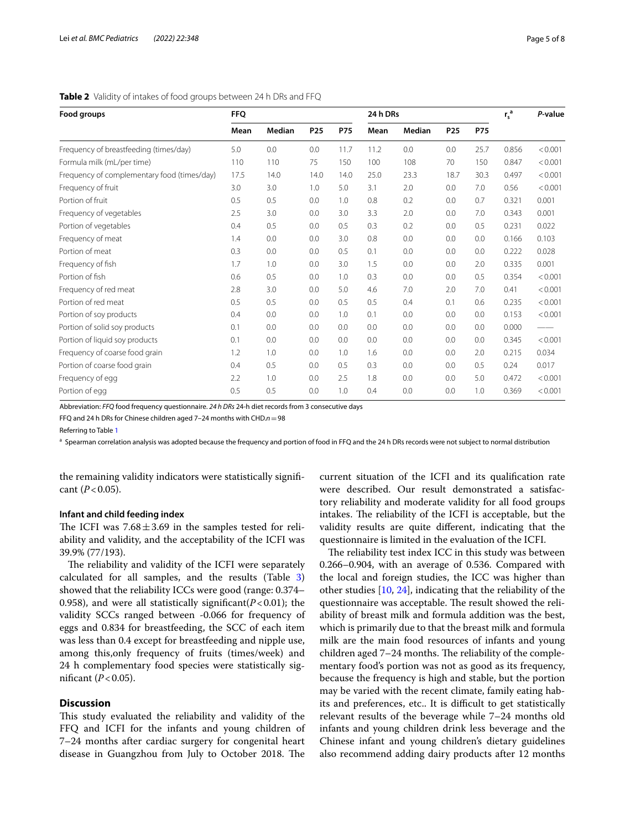# <span id="page-4-0"></span>**Table 2** Validity of intakes of food groups between 24 h DRs and FFQ

| Food groups                                 | <b>FFO</b> |        |                 |            | 24 h DRs |        |                 |            | $r_s^a$ | P-value |
|---------------------------------------------|------------|--------|-----------------|------------|----------|--------|-----------------|------------|---------|---------|
|                                             | Mean       | Median | P <sub>25</sub> | <b>P75</b> | Mean     | Median | P <sub>25</sub> | <b>P75</b> |         |         |
| Frequency of breastfeeding (times/day)      | 5.0        | 0.0    | 0.0             | 11.7       | 11.2     | 0.0    | 0.0             | 25.7       | 0.856   | < 0.001 |
| Formula milk (mL/per time)                  | 110        | 110    | 75              | 150        | 100      | 108    | 70              | 150        | 0.847   | < 0.001 |
| Frequency of complementary food (times/day) | 17.5       | 14.0   | 14.0            | 14.0       | 25.0     | 23.3   | 18.7            | 30.3       | 0.497   | < 0.001 |
| Frequency of fruit                          | 3.0        | 3.0    | 1.0             | 5.0        | 3.1      | 2.0    | 0.0             | 7.0        | 0.56    | < 0.001 |
| Portion of fruit                            | 0.5        | 0.5    | 0.0             | 1.0        | 0.8      | 0.2    | 0.0             | 0.7        | 0.321   | 0.001   |
| Frequency of vegetables                     | 2.5        | 3.0    | 0.0             | 3.0        | 3.3      | 2.0    | 0.0             | 7.0        | 0.343   | 0.001   |
| Portion of vegetables                       | 0.4        | 0.5    | 0.0             | 0.5        | 0.3      | 0.2    | 0.0             | 0.5        | 0.231   | 0.022   |
| Frequency of meat                           | 1.4        | 0.0    | 0.0             | 3.0        | 0.8      | 0.0    | 0.0             | 0.0        | 0.166   | 0.103   |
| Portion of meat                             | 0.3        | 0.0    | 0.0             | 0.5        | 0.1      | 0.0    | 0.0             | 0.0        | 0.222   | 0.028   |
| Frequency of fish                           | 1.7        | 1.0    | 0.0             | 3.0        | 1.5      | 0.0    | 0.0             | 2.0        | 0.335   | 0.001   |
| Portion of fish                             | 0.6        | 0.5    | 0.0             | 1.0        | 0.3      | 0.0    | 0.0             | 0.5        | 0.354   | < 0.001 |
| Frequency of red meat                       | 2.8        | 3.0    | 0.0             | 5.0        | 4.6      | 7.0    | 2.0             | 7.0        | 0.41    | < 0.001 |
| Portion of red meat                         | 0.5        | 0.5    | 0.0             | 0.5        | 0.5      | 0.4    | 0.1             | 0.6        | 0.235   | < 0.001 |
| Portion of soy products                     | 0.4        | 0.0    | 0.0             | 1.0        | 0.1      | 0.0    | 0.0             | 0.0        | 0.153   | < 0.001 |
| Portion of solid soy products               | 0.1        | 0.0    | 0.0             | 0.0        | 0.0      | 0.0    | 0.0             | 0.0        | 0.000   |         |
| Portion of liquid soy products              | 0.1        | 0.0    | 0.0             | 0.0        | 0.0      | 0.0    | 0.0             | 0.0        | 0.345   | < 0.001 |
| Frequency of coarse food grain              | 1.2        | 1.0    | 0.0             | 1.0        | 1.6      | 0.0    | 0.0             | 2.0        | 0.215   | 0.034   |
| Portion of coarse food grain                | 0.4        | 0.5    | 0.0             | 0.5        | 0.3      | 0.0    | 0.0             | 0.5        | 0.24    | 0.017   |
| Frequency of egg                            | 2.2        | 1.0    | 0.0             | 2.5        | 1.8      | 0.0    | 0.0             | 5.0        | 0.472   | < 0.001 |
| Portion of egg                              | 0.5        | 0.5    | 0.0             | 1.0        | 0.4      | 0.0    | 0.0             | 1.0        | 0.369   | < 0.001 |

Abbreviation: *FFQ* food frequency questionnaire. *24 h DRs* 24-h diet records from 3 consecutive days

FFQ and 24 h DRs for Chinese children aged 7–24 months with CHD.*n*=98

Referring to Table [1](#page-3-0)

<sup>a</sup> Spearman correlation analysis was adopted because the frequency and portion of food in FFQ and the 24 h DRs records were not subject to normal distribution

the remaining validity indicators were statistically signifcant  $(P<0.05)$ .

# **Infant and child feeding index**

The ICFI was  $7.68 \pm 3.69$  in the samples tested for reliability and validity, and the acceptability of the ICFI was 39.9% (77/193).

The reliability and validity of the ICFI were separately calculated for all samples, and the results (Table [3](#page-5-0)) showed that the reliability ICCs were good (range: 0.374– 0.958), and were all statistically significant( $P < 0.01$ ); the validity SCCs ranged between -0.066 for frequency of eggs and 0.834 for breastfeeding, the SCC of each item was less than 0.4 except for breastfeeding and nipple use, among this,only frequency of fruits (times/week) and 24 h complementary food species were statistically significant  $(P<0.05)$ .

# **Discussion**

This study evaluated the reliability and validity of the FFQ and ICFI for the infants and young children of 7–24 months after cardiac surgery for congenital heart disease in Guangzhou from July to October 2018. The current situation of the ICFI and its qualifcation rate were described. Our result demonstrated a satisfactory reliability and moderate validity for all food groups intakes. The reliability of the ICFI is acceptable, but the validity results are quite diferent, indicating that the questionnaire is limited in the evaluation of the ICFI.

The reliability test index ICC in this study was between 0.266–0.904, with an average of 0.536. Compared with the local and foreign studies, the ICC was higher than other studies [[10](#page-7-1), [24](#page-7-15)], indicating that the reliability of the questionnaire was acceptable. The result showed the reliability of breast milk and formula addition was the best, which is primarily due to that the breast milk and formula milk are the main food resources of infants and young children aged  $7-24$  months. The reliability of the complementary food's portion was not as good as its frequency, because the frequency is high and stable, but the portion may be varied with the recent climate, family eating habits and preferences, etc.. It is difficult to get statistically relevant results of the beverage while 7–24 months old infants and young children drink less beverage and the Chinese infant and young children's dietary guidelines also recommend adding dairy products after 12 months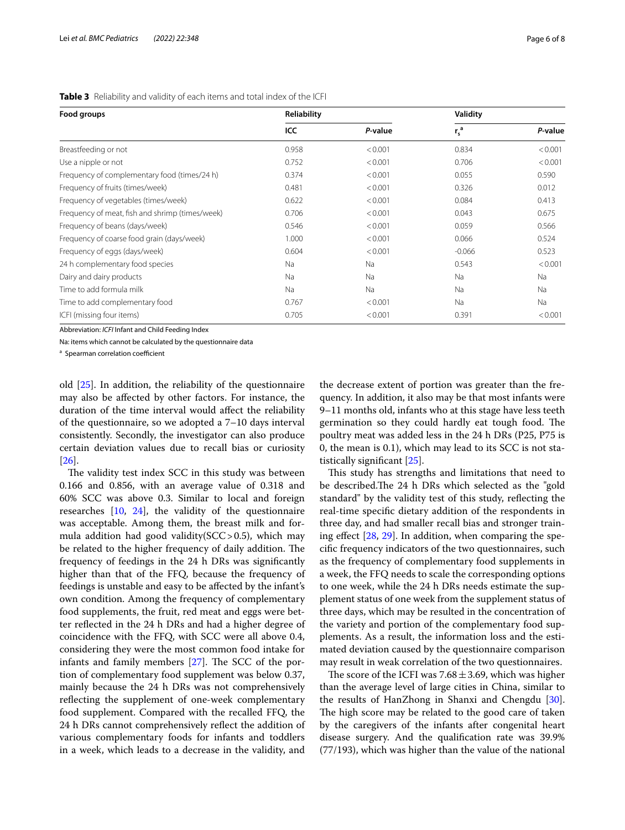| Food groups                                     | Reliability |         | Validity  |         |
|-------------------------------------------------|-------------|---------|-----------|---------|
|                                                 | ICC         | P-value | $r_s^a$   | P-value |
| Breastfeeding or not                            | 0.958       | < 0.001 | 0.834     | < 0.001 |
| Use a nipple or not                             | 0.752       | < 0.001 | 0.706     | < 0.001 |
| Frequency of complementary food (times/24 h)    | 0.374       | < 0.001 | 0.055     | 0.590   |
| Frequency of fruits (times/week)                | 0.481       | < 0.001 | 0.326     | 0.012   |
| Frequency of vegetables (times/week)            | 0.622       | < 0.001 | 0.084     | 0.413   |
| Frequency of meat, fish and shrimp (times/week) | 0.706       | < 0.001 | 0.043     | 0.675   |
| Frequency of beans (days/week)                  | 0.546       | < 0.001 | 0.059     | 0.566   |
| Frequency of coarse food grain (days/week)      | 1.000       | < 0.001 | 0.066     | 0.524   |
| Frequency of eggs (days/week)                   | 0.604       | < 0.001 | $-0.066$  | 0.523   |
| 24 h complementary food species                 | Na          | Na      | 0.543     | < 0.001 |
| Dairy and dairy products                        | Na          | Na      | Na        | Na      |
| Time to add formula milk                        | Na          | Na      | <b>Na</b> | Na      |
| Time to add complementary food                  | 0.767       | < 0.001 | <b>Na</b> | Na      |
| ICFI (missing four items)                       | 0.705       | < 0.001 | 0.391     | < 0.001 |

<span id="page-5-0"></span>**Table 3** Reliability and validity of each items and total index of the ICFI

Abbreviation: *ICFI* Infant and Child Feeding Index

Na: items which cannot be calculated by the questionnaire data

<sup>a</sup> Spearman correlation coefficient

old [\[25](#page-7-16)]. In addition, the reliability of the questionnaire may also be afected by other factors. For instance, the duration of the time interval would afect the reliability of the questionnaire, so we adopted a 7–10 days interval consistently. Secondly, the investigator can also produce certain deviation values due to recall bias or curiosity  $|26|$ .

The validity test index SCC in this study was between 0.166 and 0.856, with an average value of 0.318 and 60% SCC was above 0.3. Similar to local and foreign researches [[10](#page-7-1), [24](#page-7-15)], the validity of the questionnaire was acceptable. Among them, the breast milk and formula addition had good validity( $SCC > 0.5$ ), which may be related to the higher frequency of daily addition. The frequency of feedings in the 24 h DRs was signifcantly higher than that of the FFQ, because the frequency of feedings is unstable and easy to be afected by the infant's own condition. Among the frequency of complementary food supplements, the fruit, red meat and eggs were better refected in the 24 h DRs and had a higher degree of coincidence with the FFQ, with SCC were all above 0.4, considering they were the most common food intake for infants and family members  $[27]$  $[27]$  $[27]$ . The SCC of the portion of complementary food supplement was below 0.37, mainly because the 24 h DRs was not comprehensively reflecting the supplement of one-week complementary food supplement. Compared with the recalled FFQ, the 24 h DRs cannot comprehensively refect the addition of various complementary foods for infants and toddlers in a week, which leads to a decrease in the validity, and

the decrease extent of portion was greater than the frequency. In addition, it also may be that most infants were 9–11 months old, infants who at this stage have less teeth germination so they could hardly eat tough food. The poultry meat was added less in the 24 h DRs (P25, P75 is 0, the mean is 0.1), which may lead to its SCC is not statistically signifcant [\[25\]](#page-7-16).

This study has strengths and limitations that need to be described. The 24 h DRs which selected as the "gold" standard" by the validity test of this study, refecting the real-time specifc dietary addition of the respondents in three day, and had smaller recall bias and stronger training effect  $[28, 29]$  $[28, 29]$  $[28, 29]$ . In addition, when comparing the specifc frequency indicators of the two questionnaires, such as the frequency of complementary food supplements in a week, the FFQ needs to scale the corresponding options to one week, while the 24 h DRs needs estimate the supplement status of one week from the supplement status of three days, which may be resulted in the concentration of the variety and portion of the complementary food supplements. As a result, the information loss and the estimated deviation caused by the questionnaire comparison may result in weak correlation of the two questionnaires.

The score of the ICFI was  $7.68 \pm 3.69$ , which was higher than the average level of large cities in China, similar to the results of HanZhong in Shanxi and Chengdu [\[30](#page-7-21)]. The high score may be related to the good care of taken by the caregivers of the infants after congenital heart disease surgery. And the qualifcation rate was 39.9% (77/193), which was higher than the value of the national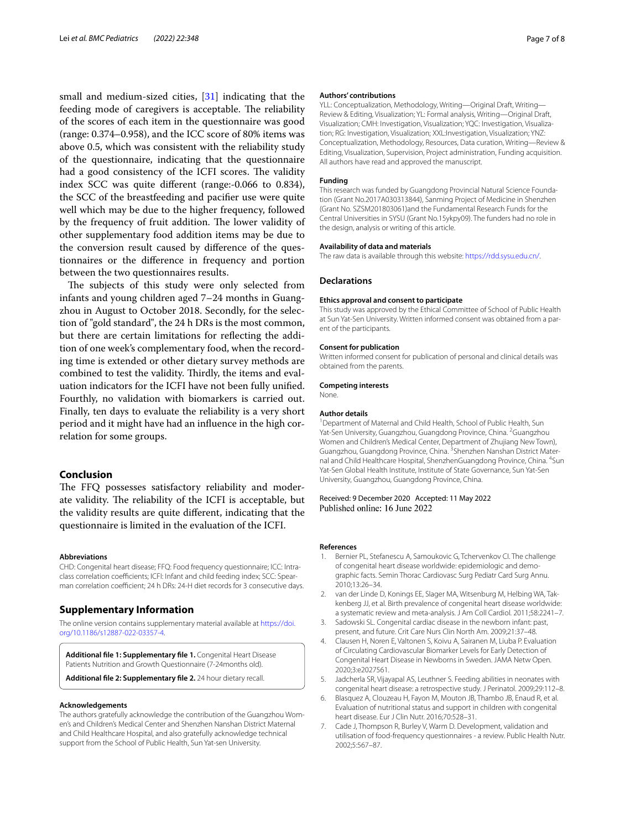small and medium-sized cities, [\[31](#page-7-22)] indicating that the feeding mode of caregivers is acceptable. The reliability of the scores of each item in the questionnaire was good (range: 0.374–0.958), and the ICC score of 80% items was above 0.5, which was consistent with the reliability study of the questionnaire, indicating that the questionnaire had a good consistency of the ICFI scores. The validity index SCC was quite diferent (range:-0.066 to 0.834), the SCC of the breastfeeding and pacifer use were quite well which may be due to the higher frequency, followed by the frequency of fruit addition. The lower validity of other supplementary food addition items may be due to the conversion result caused by diference of the questionnaires or the diference in frequency and portion between the two questionnaires results.

The subjects of this study were only selected from infants and young children aged 7–24 months in Guangzhou in August to October 2018. Secondly, for the selection of "gold standard", the 24 h DRs is the most common, but there are certain limitations for refecting the addition of one week's complementary food, when the recording time is extended or other dietary survey methods are combined to test the validity. Thirdly, the items and evaluation indicators for the ICFI have not been fully unifed. Fourthly, no validation with biomarkers is carried out. Finally, ten days to evaluate the reliability is a very short period and it might have had an infuence in the high correlation for some groups.

# **Conclusion**

The FFQ possesses satisfactory reliability and moderate validity. The reliability of the ICFI is acceptable, but the validity results are quite diferent, indicating that the questionnaire is limited in the evaluation of the ICFI.

#### **Abbreviations**

CHD: Congenital heart disease; FFQ: Food frequency questionnaire; ICC: Intraclass correlation coefficients: ICFI: Infant and child feeding index: SCC: Spearman correlation coefficient; 24 h DRs: 24-H diet records for 3 consecutive days.

# **Supplementary Information**

The online version contains supplementary material available at [https://doi.](https://doi.org/10.1186/s12887-022-03357-4) [org/10.1186/s12887-022-03357-4](https://doi.org/10.1186/s12887-022-03357-4).

**Additional fle 1: Supplementary fle 1.** Congenital Heart Disease Patients Nutrition and Growth Questionnaire (7-24months old).

**Additional fle 2: Supplementary fle 2.** 24 hour dietary recall.

#### **Acknowledgements**

The authors gratefully acknowledge the contribution of the Guangzhou Women's and Children's Medical Center and Shenzhen Nanshan District Maternal and Child Healthcare Hospital, and also gratefully acknowledge technical support from the School of Public Health, Sun Yat-sen University.

#### **Authors' contributions**

YLL: Conceptualization, Methodology, Writing—Original Draft, Writing— Review & Editing, Visualization; YL: Formal analysis, Writing—Original Draft, Visualization; CMH: Investigation, Visualization; YQC: Investigation, Visualization; RG: Investigation, Visualization; XXL:Investigation, Visualization; YNZ: Conceptualization, Methodology, Resources, Data curation, Writing—Review & Editing, Visualization, Supervision, Project administration, Funding acquisition. All authors have read and approved the manuscript.

# **Funding**

This research was funded by Guangdong Provincial Natural Science Foundation (Grant No.2017A030313844), Sanming Project of Medicine in Shenzhen (Grant No. SZSM201803061)and the Fundamental Research Funds for the Central Universities in SYSU (Grant No.15ykpy09). The funders had no role in the design, analysis or writing of this article.

#### **Availability of data and materials**

The raw data is available through this website: <https://rdd.sysu.edu.cn/>.

### **Declarations**

#### **Ethics approval and consent to participate**

This study was approved by the Ethical Committee of School of Public Health at Sun Yat-Sen University. Written informed consent was obtained from a parent of the participants.

#### **Consent for publication**

Written informed consent for publication of personal and clinical details was obtained from the parents.

# **Competing interests**

None.

#### **Author details**

<sup>1</sup> Department of Maternal and Child Health, School of Public Health, Sun Yat-Sen University, Guangzhou, Guangdong Province, China. <sup>2</sup> Guangzhou Women and Children's Medical Center, Department of Zhujiang New Town), Guangzhou, Guangdong Province, China. <sup>3</sup>Shenzhen Nanshan District Maternal and Child Healthcare Hospital, ShenzhenGuangdong Province, China. <sup>4</sup>Sun Yat-Sen Global Health Institute, Institute of State Governance, Sun Yat-Sen University, Guangzhou, Guangdong Province, China.

# Received: 9 December 2020 Accepted: 11 May 2022 Published online: 16 June 2022

#### **References**

- <span id="page-6-0"></span>1. Bernier PL, Stefanescu A, Samoukovic G, Tchervenkov CI. The challenge of congenital heart disease worldwide: epidemiologic and demographic facts. Semin Thorac Cardiovasc Surg Pediatr Card Surg Annu. 2010;13:26–34.
- <span id="page-6-1"></span>2. van der Linde D, Konings EE, Slager MA, Witsenburg M, Helbing WA, Takkenberg JJ, et al. Birth prevalence of congenital heart disease worldwide: a systematic review and meta-analysis. J Am Coll Cardiol. 2011;58:2241–7.
- <span id="page-6-2"></span>3. Sadowski SL. Congenital cardiac disease in the newborn infant: past, present, and future. Crit Care Nurs Clin North Am. 2009;21:37–48.
- <span id="page-6-3"></span>4. Clausen H, Noren E, Valtonen S, Koivu A, Sairanen M, Liuba P. Evaluation of Circulating Cardiovascular Biomarker Levels for Early Detection of Congenital Heart Disease in Newborns in Sweden. JAMA Netw Open. 2020;3:e2027561.
- <span id="page-6-4"></span>5. Jadcherla SR, Vijayapal AS, Leuthner S. Feeding abilities in neonates with congenital heart disease: a retrospective study. J Perinatol. 2009;29:112–8.
- <span id="page-6-5"></span>6. Blasquez A, Clouzeau H, Fayon M, Mouton JB, Thambo JB, Enaud R, et al. Evaluation of nutritional status and support in children with congenital heart disease. Eur J Clin Nutr. 2016;70:528–31.
- <span id="page-6-6"></span>7. Cade J, Thompson R, Burley V, Warm D. Development, validation and utilisation of food-frequency questionnaires - a review. Public Health Nutr. 2002;5:567–87.